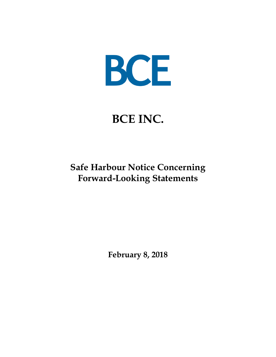

# **BCE INC.**

## **Safe Harbour Notice Concerning Forward-Looking Statements**

**February 8, 2018**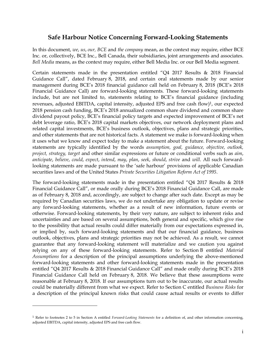### **Safe Harbour Notice Concerning Forward-Looking Statements**

In this document, *we*, *us*, *our, BCE* and *the company* mean, as the context may require, either BCE Inc. or, collectively, BCE Inc., Bell Canada, their subsidiaries, joint arrangements and associates. *Bell Media* means, as the context may require, either Bell Media Inc. or our Bell Media segment.

Certain statements made in the presentation entitled "Q4 2017 Results & 2018 Financial Guidance Call", dated February 8, 2018, and certain oral statements made by our senior management during BCE"s 2018 financial guidance call held on February 8, 2018 (BCE"s 2018 Financial Guidance Call) are forward-looking statements. These forward-looking statements include, but are not limited to, statements relating to BCE"s financial guidance (including revenues, adjusted EBITDA, capital intensity, adjusted EPS and free cash flow)<sup>1</sup>, our expected 2018 pension cash funding, BCE"s 2018 annualized common share dividend and common share dividend payout policy, BCE"s financial policy targets and expected improvement of BCE"s net debt leverage ratio, BCE"s 2018 capital markets objectives, our network deployment plans and related capital investments, BCE"s business outlook, objectives, plans and strategic priorities, and other statements that are not historical facts. A statement we make is forward-looking when it uses what we know and expect today to make a statement about the future. Forward-looking statements are typically identified by the words *assumption, goal, guidance, objective, outlook, project, strategy, target* and other similar expressions or future or conditional verbs such as *aim*, *anticipate*, *believe*, *could*, *expect*, *intend*, *may*, *plan*, *seek*, *should*, *strive* and *will*. All such forwardlooking statements are made pursuant to the 'safe harbour' provisions of applicable Canadian securities laws and of the United States *Private Securities Litigation Reform Act of 1995*.

The forward-looking statements made in the presentation entitled "Q4 2017 Results & 2018 Financial Guidance Call", or made orally during BCE"s 2018 Financial Guidance Call, are made as of February 8, 2018 and, accordingly, are subject to change after such date. Except as may be required by Canadian securities laws, we do not undertake any obligation to update or revise any forward-looking statements, whether as a result of new information, future events or otherwise. Forward-looking statements, by their very nature, are subject to inherent risks and uncertainties and are based on several assumptions, both general and specific, which give rise to the possibility that actual results could differ materially from our expectations expressed in, or implied by, such forward-looking statements and that our financial guidance, business outlook, objectives, plans and strategic priorities may not be achieved. As a result, we cannot guarantee that any forward-looking statement will materialize and we caution you against relying on any of these forward-looking statements. Refer to Section B entitled *Material Assumptions* for a description of the principal assumptions underlying the above-mentioned forward-looking statements and other forward-looking statements made in the presentation entitled "Q4 2017 Results & 2018 Financial Guidance Call" and made orally during BCE"s 2018 Financial Guidance Call held on February 8, 2018. We believe that these assumptions were reasonable at February 8, 2018. If our assumptions turn out to be inaccurate, our actual results could be materially different from what we expect. Refer to Section C entitled *Business Risks* for a description of the principal known risks that could cause actual results or events to differ

 $\overline{a}$ 

<sup>1</sup> Refer to footnotes 2 to 5 in Section A entitled *Forward-Looking Statements* for a definition of, and other information concerning, adjusted EBITDA, capital intensity, adjusted EPS and free cash flow.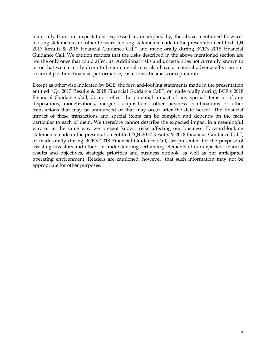materially from our expectations expressed in, or implied by, the above-mentioned forwardlooking statements and other forward-looking statements made in the presentation entitled "Q4 2017 Results & 2018 Financial Guidance Call" and made orally during BCE"s 2018 Financial Guidance Call. We caution readers that the risks described in the above mentioned section are not the only ones that could affect us. Additional risks and uncertainties not currently known to us or that we currently deem to be immaterial may also have a material adverse effect on our financial position, financial performance, cash flows, business or reputation.

Except as otherwise indicated by BCE, the forward-looking statements made in the presentation entitled "Q4 2017 Results & 2018 Financial Guidance Call", or made orally during BCE's 2018 Financial Guidance Call, do not reflect the potential impact of any special items or of any dispositions, monetizations, mergers, acquisitions, other business combinations or other transactions that may be announced or that may occur after the date hereof. The financial impact of these transactions and special items can be complex and depends on the facts particular to each of them. We therefore cannot describe the expected impact in a meaningful way or in the same way we present known risks affecting our business. Forward-looking statements made in the presentation entitled "Q4 2017 Results & 2018 Financial Guidance Call", or made orally during BCE"s 2018 Financial Guidance Call, are presented for the purpose of assisting investors and others in understanding certain key elements of our expected financial results and objectives, strategic priorities and business outlook, as well as our anticipated operating environment. Readers are cautioned, however, that such information may not be appropriate for other purposes.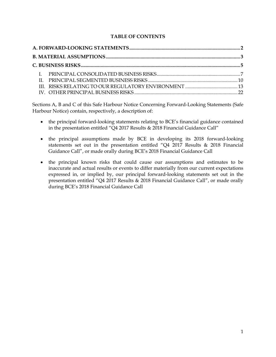#### **TABLE OF CONTENTS**

Sections A, B and C of this Safe Harbour Notice Concerning Forward-Looking Statements (Safe Harbour Notice) contain, respectively, a description of:

- the principal forward-looking statements relating to BCE's financial guidance contained in the presentation entitled "Q4 2017 Results & 2018 Financial Guidance Call"
- the principal assumptions made by BCE in developing its 2018 forward-looking statements set out in the presentation entitled "Q4 2017 Results & 2018 Financial Guidance Call", or made orally during BCE"s 2018 Financial Guidance Call
- the principal known risks that could cause our assumptions and estimates to be inaccurate and actual results or events to differ materially from our current expectations expressed in, or implied by, our principal forward-looking statements set out in the presentation entitled "Q4 2017 Results & 2018 Financial Guidance Call", or made orally during BCE"s 2018 Financial Guidance Call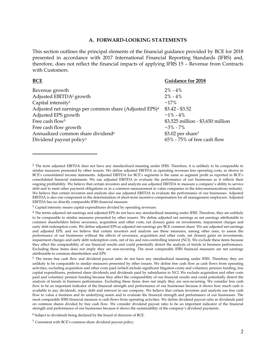#### **A. FORWARD-LOOKING STATEMENTS**

<span id="page-4-0"></span>This section outlines the principal elements of the financial guidance provided by BCE for 2018 presented in accordance with 2017 International Financial Reporting Standards (IFRS) and, therefore, does not reflect the financial impacts of applying IFRS 15 – Revenue from Contracts with Customers.

| <b>BCE</b>                                                         | <b>Guidance for 2018</b>          |
|--------------------------------------------------------------------|-----------------------------------|
| Revenue growth                                                     | $2\% - 4\%$                       |
| Adjusted EBITDA <sup>2</sup> growth                                | $2\% - 4\%$                       |
| Capital intensity <sup>3</sup>                                     | $~17\%$                           |
| Adjusted net earnings per common share (Adjusted EPS) <sup>4</sup> | $$3.42 - $3.52$                   |
| Adjusted EPS growth                                                | $~1\%$ - 4%                       |
| Free cash flow <sup>5</sup>                                        | \$3,525 million - \$3,650 million |
| Free cash flow growth                                              | $\sim$ 3% - 7%                    |
| Annualized common share dividend <sup>6</sup>                      | \$3.02 per share <sup>7</sup>     |
| Dividend payout policy <sup>5</sup>                                | $65\%$ - 75% of free cash flow    |

 $\overline{a}$ 

<sup>&</sup>lt;sup>2</sup> The term adjusted EBITDA does not have any standardized meaning under IFRS. Therefore, it is unlikely to be comparable to similar measures presented by other issuers. We define adjusted EBITDA as operating revenues less operating costs, as shown in BCE"s consolidated income statements. Adjusted EBITDA for BCE"s segments is the same as segment profit as reported in BCE"s consolidated financial statements. We use adjusted EBITDA to evaluate the performance of our businesses as it reflects their ongoing profitability. We believe that certain investors and analysts use adjusted EBITDA to measure a company"s ability to service debt and to meet other payment obligations or as a common measurement to value companies in the telecommunications industry. We believe that certain investors and analysts also use adjusted EBITDA to evaluate the performance of our businesses. Adjusted EBITDA is also one component in the determination of short-term incentive compensation for all management employees. Adjusted EBITDA has no directly comparable IFRS financial measure.

<sup>&</sup>lt;sup>3</sup> Capital intensity means capital expenditures divided by operating revenues.

<sup>&</sup>lt;sup>4</sup> The terms adjusted net earnings and adjusted EPS do not have any standardized meaning under IFRS. Therefore, they are unlikely to be comparable to similar measures presented by other issuers. We define adjusted net earnings as net earnings attributable to common shareholders before severance, acquisition and other costs, net (losses) gains on investments, impairment charges and early debt redemption costs. We define adjusted EPS as adjusted net earnings per BCE common share. We use adjusted net earnings and adjusted EPS, and we believe that certain investors and analysts use these measures, among other ones, to assess the performance of our businesses without the effects of severance, acquisition and other costs, net (losses) gains on investments, impairment charges and early debt redemption costs, net of tax and non-controlling interest (NCI). We exclude these items because they affect the comparability of our financial results and could potentially distort the analysis of trends in business performance. Excluding these items does not imply they are non-recurring. The most comparable IFRS financial measures are net earnings attributable to common shareholders and EPS.

<sup>&</sup>lt;sup>5</sup> The terms free cash flow and dividend payout ratio do not have any standardized meaning under IFRS. Therefore, they are unlikely to be comparable to similar measures presented by other issuers. We define free cash flow as cash flows from operating activities, excluding acquisition and other costs paid (which include significant litigation costs) and voluntary pension funding, less capital expenditures, preferred share dividends and dividends paid by subsidiaries to NCI. We exclude acquisition and other costs paid and voluntary pension funding because they affect the comparability of our financial results and could potentially distort the analysis of trends in business performance. Excluding these items does not imply they are non-recurring. We consider free cash flow to be an important indicator of the financial strength and performance of our businesses because it shows how much cash is available to pay dividends, repay debt and reinvest in our company. We believe that certain investors and analysts use free cash flow to value a business and its underlying assets and to evaluate the financial strength and performance of our businesses. The most comparable IFRS financial measure is cash flows from operating activities. We define dividend payout ratio as dividends paid on common shares divided by free cash flow. We consider dividend payout ratio to be an important indicator of the financial strength and performance of our businesses because it shows the sustainability of the company's dividend payments.

<sup>6</sup> Subject to dividends being declared by the board of directors of BCE.

<sup>7</sup> Consistent with BCE"s common share dividend payout policy.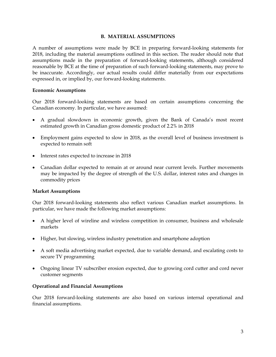#### **B. MATERIAL ASSUMPTIONS**

<span id="page-5-0"></span>A number of assumptions were made by BCE in preparing forward-looking statements for 2018, including the material assumptions outlined in this section. The reader should note that assumptions made in the preparation of forward-looking statements, although considered reasonable by BCE at the time of preparation of such forward-looking statements, may prove to be inaccurate. Accordingly, our actual results could differ materially from our expectations expressed in, or implied by, our forward-looking statements.

#### **Economic Assumptions**

Our 2018 forward-looking statements are based on certain assumptions concerning the Canadian economy. In particular, we have assumed:

- A gradual slowdown in economic growth, given the Bank of Canada"s most recent estimated growth in Canadian gross domestic product of 2.2% in 2018
- Employment gains expected to slow in 2018, as the overall level of business investment is expected to remain soft
- Interest rates expected to increase in 2018
- Canadian dollar expected to remain at or around near current levels. Further movements may be impacted by the degree of strength of the U.S. dollar, interest rates and changes in commodity prices

#### **Market Assumptions**

Our 2018 forward-looking statements also reflect various Canadian market assumptions. In particular, we have made the following market assumptions:

- A higher level of wireline and wireless competition in consumer, business and wholesale markets
- Higher, but slowing, wireless industry penetration and smartphone adoption
- A soft media advertising market expected, due to variable demand, and escalating costs to secure TV programming
- Ongoing linear TV subscriber erosion expected, due to growing cord cutter and cord never customer segments

#### **Operational and Financial Assumptions**

Our 2018 forward-looking statements are also based on various internal operational and financial assumptions.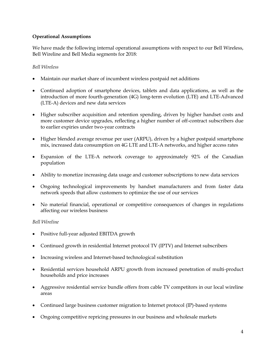#### **Operational Assumptions**

We have made the following internal operational assumptions with respect to our Bell Wireless, Bell Wireline and Bell Media segments for 2018:

#### *Bell Wireless*

- Maintain our market share of incumbent wireless postpaid net additions
- Continued adoption of smartphone devices, tablets and data applications, as well as the introduction of more fourth-generation (4G) long-term evolution (LTE) and LTE-Advanced (LTE-A) devices and new data services
- Higher subscriber acquisition and retention spending, driven by higher handset costs and more customer device upgrades, reflecting a higher number of off-contract subscribers due to earlier expiries under two-year contracts
- Higher blended average revenue per user (ARPU), driven by a higher postpaid smartphone mix, increased data consumption on 4G LTE and LTE-A networks, and higher access rates
- Expansion of the LTE-A network coverage to approximately 92% of the Canadian population
- Ability to monetize increasing data usage and customer subscriptions to new data services
- Ongoing technological improvements by handset manufacturers and from faster data network speeds that allow customers to optimize the use of our services
- No material financial, operational or competitive consequences of changes in regulations affecting our wireless business

#### *Bell Wireline*

- Positive full-year adjusted EBITDA growth
- Continued growth in residential Internet protocol TV (IPTV) and Internet subscribers
- Increasing wireless and Internet-based technological substitution
- Residential services household ARPU growth from increased penetration of multi-product households and price increases
- Aggressive residential service bundle offers from cable TV competitors in our local wireline areas
- Continued large business customer migration to Internet protocol (IP)-based systems
- Ongoing competitive repricing pressures in our business and wholesale markets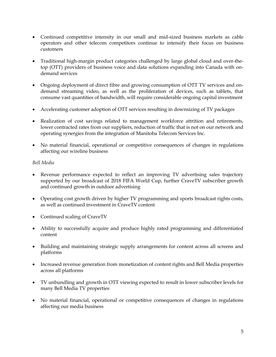- Continued competitive intensity in our small and mid-sized business markets as cable operators and other telecom competitors continue to intensify their focus on business customers
- Traditional high-margin product categories challenged by large global cloud and over-thetop (OTT) providers of business voice and data solutions expanding into Canada with ondemand services
- Ongoing deployment of direct fibre and growing consumption of OTT TV services and ondemand streaming video, as well as the proliferation of devices, such as tablets, that consume vast quantities of bandwidth, will require considerable ongoing capital investment
- Accelerating customer adoption of OTT services resulting in downsizing of TV packages
- Realization of cost savings related to management workforce attrition and retirements, lower contracted rates from our suppliers, reduction of traffic that is not on our network and operating synergies from the integration of Manitoba Telecom Services Inc.
- No material financial, operational or competitive consequences of changes in regulations affecting our wireline business

#### *Bell Media*

- <span id="page-7-0"></span> Revenue performance expected to reflect an improving TV advertising sales trajectory supported by our broadcast of 2018 FIFA World Cup, further CraveTV subscriber growth and continued growth in outdoor advertising
- Operating cost growth driven by higher TV programming and sports broadcast rights costs, as well as continued investment in CraveTV content
- Continued scaling of CraveTV
- Ability to successfully acquire and produce highly rated programming and differentiated content
- Building and maintaining strategic supply arrangements for content across all screens and platforms
- Increased revenue generation from monetization of content rights and Bell Media properties across all platforms
- TV unbundling and growth in OTT viewing expected to result in lower subscriber levels for many Bell Media TV properties
- No material financial, operational or competitive consequences of changes in regulations affecting our media business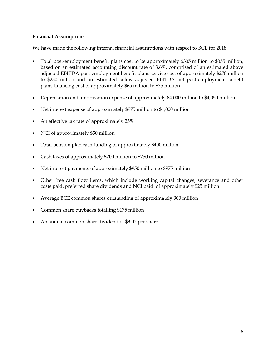#### **Financial Assumptions**

We have made the following internal financial assumptions with respect to BCE for 2018:

- Total post-employment benefit plans cost to be approximately \$335 million to \$355 million, based on an estimated accounting discount rate of 3.6%, comprised of an estimated above adjusted EBITDA post-employment benefit plans service cost of approximately \$270 million to \$280 million and an estimated below adjusted EBITDA net post-employment benefit plans financing cost of approximately \$65 million to \$75 million
- Depreciation and amortization expense of approximately \$4,000 million to \$4,050 million
- Net interest expense of approximately \$975 million to \$1,000 million
- An effective tax rate of approximately 25%
- NCI of approximately \$50 million
- Total pension plan cash funding of approximately \$400 million
- Cash taxes of approximately \$700 million to \$750 million
- Net interest payments of approximately \$950 million to \$975 million
- Other free cash flow items, which include working capital changes, severance and other costs paid, preferred share dividends and NCI paid, of approximately \$25 million
- Average BCE common shares outstanding of approximately 900 million
- Common share buybacks totalling \$175 million
- An annual common share dividend of \$3.02 per share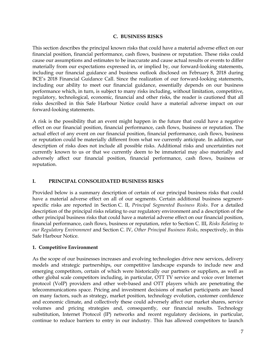#### **C. BUSINESS RISKS**

This section describes the principal known risks that could have a material adverse effect on our financial position, financial performance, cash flows, business or reputation. These risks could cause our assumptions and estimates to be inaccurate and cause actual results or events to differ materially from our expectations expressed in, or implied by, our forward-looking statements, including our financial guidance and business outlook disclosed on February 8, 2018 during BCE's 2018 Financial Guidance Call. Since the realization of our forward-looking statements, including our ability to meet our financial guidance, essentially depends on our business performance which, in turn, is subject to many risks including, without limitation, competitive, regulatory, technological, economic, financial and other risks, the reader is cautioned that all risks described in this Safe Harbour Notice could have a material adverse impact on our forward-looking statements.

A risk is the possibility that an event might happen in the future that could have a negative effect on our financial position, financial performance, cash flows, business or reputation. The actual effect of any event on our financial position, financial performance, cash flows, business or reputation could be materially different from what we currently anticipate. In addition, our description of risks does not include all possible risks. Additional risks and uncertainties not currently known to us or that we currently deem to be immaterial may also materially and adversely affect our financial position, financial performance, cash flows, business or reputation.

#### <span id="page-9-0"></span>**I. PRINCIPAL CONSOLIDATED BUSINESS RISKS**

Provided below is a summary description of certain of our principal business risks that could have a material adverse effect on all of our segments. Certain additional business segmentspecific risks are reported in Section [C. II,](#page-12-0) *Principal Segmented Business Risks*. For a detailed description of the principal risks relating to our regulatory environment and a description of the other principal business risks that could have a material adverse effect on our financial position, financial performance, cash flows, business or reputation, refer to Section [C. III,](#page-15-1) *Risks Relating to our Regulatory Environment* and Section [C. IV,](#page-25-0) *Other Principal Business Risks*, respectively, in this Safe Harbour Notice.

#### **1. Competitive Environment**

As the scope of our businesses increases and evolving technologies drive new services, delivery models and strategic partnerships, our competitive landscape expands to include new and emerging competitors, certain of which were historically our partners or suppliers, as well as other global scale competitors including, in particular, OTT TV service and voice over Internet protocol (VoIP) providers and other web-based and OTT players which are penetrating the telecommunications space. Pricing and investment decisions of market participants are based on many factors, such as strategy, market position, technology evolution, customer confidence and economic climate, and collectively these could adversely affect our market shares, service volumes and pricing strategies and, consequently, our financial results. Technology substitution, Internet Protocol (IP) networks and recent regulatory decisions, in particular, continue to reduce barriers to entry in our industry. This has allowed competitors to launch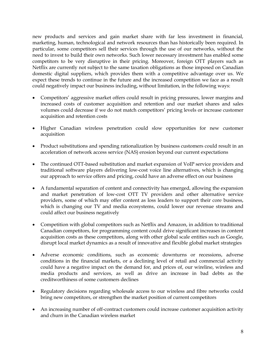new products and services and gain market share with far less investment in financial, marketing, human, technological and network resources than has historically been required. In particular, some competitors sell their services through the use of our networks, without the need to invest to build their own networks. Such lower necessary investment has enabled some competitors to be very disruptive in their pricing. Moreover, foreign OTT players such as Netflix are currently not subject to the same taxation obligations as those imposed on Canadian domestic digital suppliers, which provides them with a competitive advantage over us. We expect these trends to continue in the future and the increased competition we face as a result could negatively impact our business including, without limitation, in the following ways:

- Competitors' aggressive market offers could result in pricing pressures, lower margins and increased costs of customer acquisition and retention and our market shares and sales volumes could decrease if we do not match competitors' pricing levels or increase customer acquisition and retention costs
- Higher Canadian wireless penetration could slow opportunities for new customer acquisition
- Product substitutions and spending rationalization by business customers could result in an acceleration of network access service (NAS) erosion beyond our current expectations
- The continued OTT-based substitution and market expansion of VoIP service providers and traditional software players delivering low-cost voice line alternatives, which is changing our approach to service offers and pricing, could have an adverse effect on our business
- A fundamental separation of content and connectivity has emerged, allowing the expansion and market penetration of low-cost OTT TV providers and other alternative service providers, some of which may offer content as loss leaders to support their core business, which is changing our TV and media ecosystems, could lower our revenue streams and could affect our business negatively
- Competition with global competitors such as Netflix and Amazon, in addition to traditional Canadian competitors, for programming content could drive significant increases in content acquisition costs as these competitors, along with other global scale entities such as Google, disrupt local market dynamics as a result of innovative and flexible global market strategies
- Adverse economic conditions, such as economic downturns or recessions, adverse conditions in the financial markets, or a declining level of retail and commercial activity could have a negative impact on the demand for, and prices of, our wireline, wireless and media products and services, as well as drive an increase in bad debts as the creditworthiness of some customers declines
- Regulatory decisions regarding wholesale access to our wireless and fibre networks could bring new competitors, or strengthen the market position of current competitors
- An increasing number of off-contract customers could increase customer acquisition activity and churn in the Canadian wireless market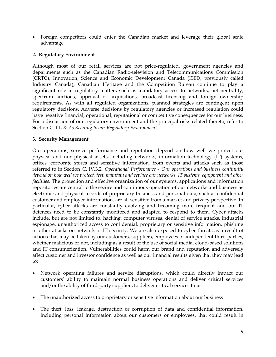Foreign competitors could enter the Canadian market and leverage their global scale advantage

#### **2. Regulatory Environment**

Although most of our retail services are not price-regulated, government agencies and departments such as the Canadian Radio-television and Telecommunications Commission (CRTC), Innovation, Science and Economic Development Canada (ISED, previously called Industry Canada), Canadian Heritage and the Competition Bureau continue to play a significant role in regulatory matters such as mandatory access to networks, net neutrality, spectrum auctions, approval of acquisitions, broadcast licensing and foreign ownership requirements. As with all regulated organizations, planned strategies are contingent upon regulatory decisions. Adverse decisions by regulatory agencies or increased regulation could have negative financial, operational, reputational or competitive consequences for our business. For a discussion of our regulatory environment and the principal risks related thereto, refer to Section [C. III,](#page-15-1) *Risks Relating to our Regulatory Environment.*

#### **3. Security Management**

Our operations, service performance and reputation depend on how well we protect our physical and non-physical assets, including networks, information technology (IT) systems, offices, corporate stores and sensitive information, from events and attacks such as those referred to in Section [C. IV.3.2,](#page-28-0) *Operational Performance - Our operations and business continuity depend on how well we protect, test, maintain and replace our networks, IT systems, equipment and other facilities*. The protection and effective organization of our systems, applications and information repositories are central to the secure and continuous operation of our networks and business as electronic and physical records of proprietary business and personal data, such as confidential customer and employee information, are all sensitive from a market and privacy perspective. In particular, cyber attacks are constantly evolving and becoming more frequent and our IT defences need to be constantly monitored and adapted to respond to them. Cyber attacks include, but are not limited to, hacking, computer viruses, denial of service attacks, industrial espionage, unauthorized access to confidential, proprietary or sensitive information, phishing or other attacks on network or IT security. We are also exposed to cyber threats as a result of actions that may be taken by our customers, suppliers, employees or independent third parties, whether malicious or not, including as a result of the use of social media, cloud-based solutions and IT consumerization. Vulnerabilities could harm our brand and reputation and adversely affect customer and investor confidence as well as our financial results given that they may lead to:

- Network operating failures and service disruptions, which could directly impact our customers" ability to maintain normal business operations and deliver critical services and/or the ability of third-party suppliers to deliver critical services to us
- The unauthorized access to proprietary or sensitive information about our business
- The theft, loss, leakage, destruction or corruption of data and confidential information, including personal information about our customers or employees, that could result in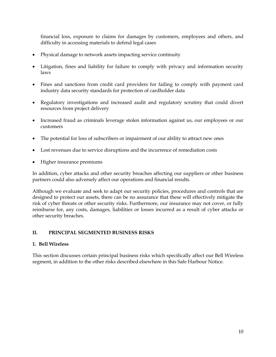financial loss, exposure to claims for damages by customers, employees and others, and difficulty in accessing materials to defend legal cases

- Physical damage to network assets impacting service continuity
- Litigation, fines and liability for failure to comply with privacy and information security laws
- Fines and sanctions from credit card providers for failing to comply with payment card industry data security standards for protection of cardholder data
- Regulatory investigations and increased audit and regulatory scrutiny that could divert resources from project delivery
- Increased fraud as criminals leverage stolen information against us, our employees or our customers
- The potential for loss of subscribers or impairment of our ability to attract new ones
- Lost revenues due to service disruptions and the incurrence of remediation costs
- Higher insurance premiums

In addition, cyber attacks and other security breaches affecting our suppliers or other business partners could also adversely affect our operations and financial results.

Although we evaluate and seek to adapt our security policies, procedures and controls that are designed to protect our assets, there can be no assurance that these will effectively mitigate the risk of cyber threats or other security risks. Furthermore, our insurance may not cover, or fully reimburse for, any costs, damages, liabilities or losses incurred as a result of cyber attacks or other security breaches.

#### <span id="page-12-0"></span>**II. PRINCIPAL SEGMENTED BUSINESS RISKS**

#### **1. Bell Wireless**

This section discusses certain principal business risks which specifically affect our Bell Wireless segment, in addition to the other risks described elsewhere in this Safe Harbour Notice.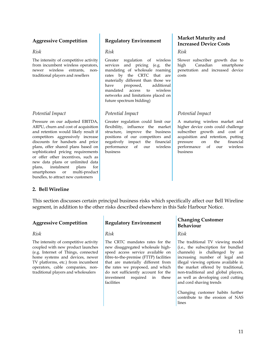*Risk*

The intensity of competitive activity from incumbent wireless operators, newer wireless entrants, nontraditional players and resellers

#### *Potential Impact*

Pressure on our adjusted EBITDA, ARPU, churn and cost of acquisition and retention would likely result if competitors aggressively increase discounts for handsets and price plans, offer shared plans based on sophisticated pricing requirements or offer other incentives, such as new data plans or unlimited data plans, instalment plans for smartphones or multi-product bundles, to attract new customers

*Risk*

Greater regulation of wireless services and pricing (e.g. the mandating of wholesale roaming rates by the CRTC that are materially different than those we have proposed, additional mandated access to wireless networks and limitations placed on future spectrum bidding)

#### *Potential Impact*

Greater regulation could limit our flexibility, influence the market structure, improve the business positions of our competitors and negatively impact the financial performance of our wireless business

#### **Aggressive Competition Regulatory Environment Market Maturity and Increased Device Costs**

*Risk*

Slower subscriber growth due to high Canadian smartphone penetration and increased device costs

### *Potential Impact*

A maturing wireless market and higher device costs could challenge subscriber growth and cost of acquisition and retention, putting pressure on the financial performance of our wireless business

### **2. Bell Wireline**

This section discusses certain principal business risks which specifically affect our Bell Wireline segment, in addition to the other risks described elsewhere in this Safe Harbour Notice.

*Risk*

The intensity of competitive activity coupled with new product launches (e.g. Internet of Things, connected home systems and devices, newer TV platforms, etc.) from incumbent operators, cable companies, nontraditional players and wholesalers

*Risk*

The CRTC mandates rates for the new disaggregated wholesale highspeed access service available on fibre-to-the-premise (FTTP) facilities that are materially different from the rates we proposed, and which do not sufficiently account for the investment required in these facilities

### **Aggressive Competition Regulatory Environment Changing Customer Behaviour**

*Risk*

The traditional TV viewing model (i.e., the subscription for bundled channels) is challenged by an increasing number of legal and illegal viewing options available in the market offered by traditional, non-traditional and global players, as well as developing cord cutting and cord shaving trends

Changing customer habits further contribute to the erosion of NAS lines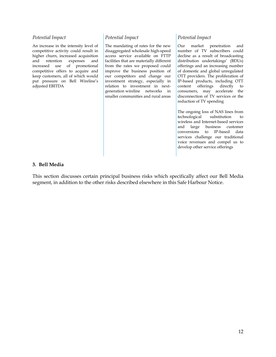#### *Potential Impact*

An increase in the intensity level of competitive activity could result in higher churn, increased acquisition and retention expenses and increased use of promotional competitive offers to acquire and keep customers, all of which would put pressure on Bell Wireline"s adjusted EBITDA

#### *Potential Impact*

The mandating of rates for the new disaggregated wholesale high-speed access service available on FTTP facilities that are materially different from the rates we proposed could improve the business position of our competitors and change our investment strategy, especially in relation to investment in nextgeneration wireline networks in smaller communities and rural areas

#### *Potential Impact*

Our market penetration and number of TV subscribers could decline as a result of broadcasting distribution undertakings' (BDUs) offerings and an increasing number of domestic and global unregulated OTT providers. The proliferation of IP-based products, including OTT content offerings directly to consumers, may accelerate the disconnection of TV services or the reduction of TV spending

The ongoing loss of NAS lines from technological substitution to wireless and Internet-based services<br>and large business customer business customer conversions to IP-based data services challenge our traditional voice revenues and compel us to develop other service offerings

#### **3. Bell Media**

This section discusses certain principal business risks which specifically affect our Bell Media segment, in addition to the other risks described elsewhere in this Safe Harbour Notice.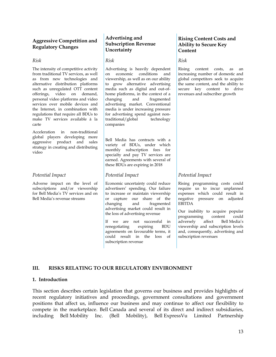#### **Aggressive Competition and Regulatory Changes**

#### *Risk*

The intensity of competitive activity from traditional TV services, as well as from new technologies and alternative distribution platforms such as unregulated OTT content offerings, video on demand, personal video platforms and video services over mobile devices and the Internet, in combination with regulations that require all BDUs to make TV services available à la carte

Acceleration in non-traditional global players developing more aggressive product and sales strategy in creating and distributing video

#### *Potential Impact*

Adverse impact on the level of subscriptions and/or viewership for Bell Media"s TV services and on Bell Media"s revenue streams

#### **Advertising and Subscription Revenue Uncertainty**

*Risk*

Advertising is heavily dependent on economic conditions and viewership, as well as on our ability to grow alternative advertising media such as digital and out-ofhome platforms, in the context of a changing and fragmented advertising market. Conventional media is under increasing pressure for advertising spend against nontraditional/global technology companies

Bell Media has contracts with a variety of BDUs, under which monthly subscription fees for specialty and pay TV services are earned. Agreements with several of these BDUs are expiring in 2018

#### *Potential Impact*

Economic uncertainty could reduce advertisers" spending. Our failure to increase or maintain viewership or capture our share of the changing and fragmented advertising market could result in the loss of advertising revenue

If we are not successful in renegotiating expiring BDU agreements on favourable terms, it could result in the loss of subscription revenue

#### **Rising Content Costs and Ability to Secure Key Content**

*Risk*

Rising content costs, as an increasing number of domestic and global competitors seek to acquire the same content, and the ability to secure key content to drive revenues and subscriber growth

#### *Potential Impact*

Rising programming costs could require us to incur unplanned expenses which could result in negative pressure on adjusted EBITDA

Our inability to acquire popular programming content could adversely affect Bell Media"s viewership and subscription levels and, consequently, advertising and subscription revenues

### <span id="page-15-1"></span><span id="page-15-0"></span>**III. RISKS RELATING TO OUR REGULATORY ENVIRONMENT**

#### **1. Introduction**

This section describes certain legislation that governs our business and provides highlights of recent regulatory initiatives and proceedings, government consultations and government positions that affect us, influence our business and may continue to affect our flexibility to compete in the marketplace. Bell Canada and several of its direct and indirect subsidiaries, including Bell Mobility Inc. (Bell Mobility), Bell ExpressVu Limited Partnership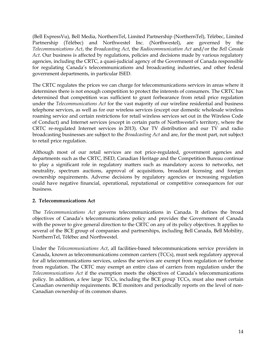(Bell ExpressVu), Bell Media, NorthernTel, Limited Partnership (NorthernTel), Télébec, Limited Partnership (Télébec) and Northwestel Inc. (Northwestel), are governed by the *Telecommunications Act*, the *Broadcasting Act*, the *Radiocommunication Act* and/or the *Bell Canada Act*. Our business is affected by regulations, policies and decisions made by various regulatory agencies, including the CRTC, a quasi-judicial agency of the Government of Canada responsible for regulating Canada"s telecommunications and broadcasting industries, and other federal government departments, in particular ISED.

The CRTC regulates the prices we can charge for telecommunications services in areas where it determines there is not enough competition to protect the interests of consumers. The CRTC has determined that competition was sufficient to grant forbearance from retail price regulation under the *Telecommunications Act* for the vast majority of our wireline residential and business telephone services, as well as for our wireless services (except our domestic wholesale wireless roaming service and certain restrictions for retail wireless services set out in the Wireless Code of Conduct) and Internet services (except in certain parts of Northwestel"s territory, where the CRTC re-regulated Internet services in 2013). Our TV distribution and our TV and radio broadcasting businesses are subject to the *Broadcasting Act* and are, for the most part, not subject to retail price regulation.

Although most of our retail services are not price-regulated, government agencies and departments such as the CRTC, ISED, Canadian Heritage and the Competition Bureau continue to play a significant role in regulatory matters such as mandatory access to networks, net neutrality, spectrum auctions, approval of acquisitions, broadcast licensing and foreign ownership requirements. Adverse decisions by regulatory agencies or increasing regulation could have negative financial, operational, reputational or competitive consequences for our business.

### **2. Telecommunications Act**

The *Telecommunications Act* governs telecommunications in Canada. It defines the broad objectives of Canada"s telecommunications policy and provides the Government of Canada with the power to give general direction to the CRTC on any of its policy objectives. It applies to several of the BCE group of companies and partnerships, including Bell Canada, Bell Mobility, NorthernTel, Télébec and Northwestel.

Under the *Telecommunications Act*, all facilities-based telecommunications service providers in Canada, known as telecommunications common carriers (TCCs), must seek regulatory approval for all telecommunications services, unless the services are exempt from regulation or forborne from regulation. The CRTC may exempt an entire class of carriers from regulation under the *Telecommunications Act* if the exemption meets the objectives of Canada"s telecommunications policy. In addition, a few large TCCs, including the BCE group TCCs, must also meet certain Canadian ownership requirements. BCE monitors and periodically reports on the level of non-Canadian ownership of its common shares.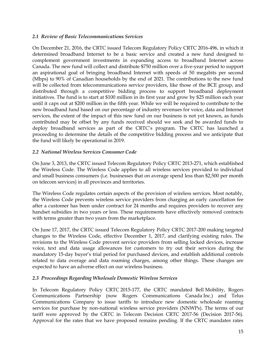#### *2.1 Review of Basic Telecommunications Services*

On December 21, 2016, the CRTC issued Telecom Regulatory Policy CRTC 2016-496, in which it determined broadband Internet to be a basic service and created a new fund designed to complement government investments in expanding access to broadband Internet across Canada. The new fund will collect and distribute \$750 million over a five-year period to support an aspirational goal of bringing broadband Internet with speeds of 50 megabits per second (Mbps) to 90% of Canadian households by the end of 2021. The contributions to the new fund will be collected from telecommunications service providers, like those of the BCE group, and distributed through a competitive bidding process to support broadband deployment initiatives. The fund is to start at \$100 million in its first year and grow by \$25 million each year until it caps out at \$200 million in the fifth year. While we will be required to contribute to the new broadband fund based on our percentage of industry revenues for voice, data and Internet services, the extent of the impact of this new fund on our business is not yet known, as funds contributed may be offset by any funds received should we seek and be awarded funds to deploy broadband services as part of the CRTC"s program. The CRTC has launched a proceeding to determine the details of the competitive bidding process and we anticipate that the fund will likely be operational in 2019.

#### *2.2 National Wireless Services Consumer Code*

On June 3, 2013, the CRTC issued Telecom Regulatory Policy CRTC 2013-271, which established the Wireless Code. The Wireless Code applies to all wireless services provided to individual and small business consumers (i.e. businesses that on average spend less than \$2,500 per month on telecom services) in all provinces and territories.

The Wireless Code regulates certain aspects of the provision of wireless services. Most notably, the Wireless Code prevents wireless service providers from charging an early cancellation fee after a customer has been under contract for 24 months and requires providers to recover any handset subsidies in two years or less. These requirements have effectively removed contracts with terms greater than two years from the marketplace.

On June 17, 2017, the CRTC issued Telecom Regulatory Policy CRTC 2017-200 making targeted changes to the Wireless Code, effective December 1, 2017, and clarifying existing rules. The revisions to the Wireless Code prevent service providers from selling locked devices, increase voice, text and data usage allowances for customers to try out their services during the mandatory 15-day buyer"s trial period for purchased devices, and establish additional controls related to data overage and data roaming charges, among other things. These changes are expected to have an adverse effect on our wireless business.

#### *2.3 Proceedings Regarding Wholesale Domestic Wireless Services*

In Telecom Regulatory Policy CRTC 2015-177, the CRTC mandated Bell Mobility, Rogers Communications Partnership (now Rogers Communications Canada Inc.) and Telus Communications Company to issue tariffs to introduce new domestic wholesale roaming services for purchase by non-national wireless service providers (NNWPs). The terms of our tariff were approved by the CRTC in Telecom Decision CRTC 2017-56 (Decision 2017-56). Approval for the rates that we have proposed remains pending. If the CRTC mandates rates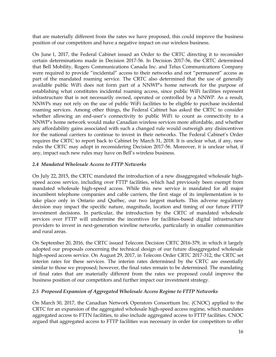that are materially different from the rates we have proposed, this could improve the business position of our competitors and have a negative impact on our wireless business.

On June 1, 2017, the Federal Cabinet issued an Order to the CRTC directing it to reconsider certain determinations made in Decision 2017-56. In Decision 2017-56, the CRTC determined that Bell Mobility, Rogers Communications Canada Inc. and Telus Communications Company were required to provide "incidental" access to their networks and not "permanent" access as part of the mandated roaming service. The CRTC also determined that the use of generally available public WiFi does not form part of a NNWP"s home network for the purpose of establishing what constitutes incidental roaming access, since public WiFi facilities represent infrastructure that is not necessarily owned, operated or controlled by a NNWP. As a result, NNWPs may not rely on the use of public WiFi facilities to be eligible to purchase incidental roaming services. Among other things, the Federal Cabinet has asked the CRTC to consider whether allowing an end-user's connectivity to public WiFi to count as connectivity to a NNWP"s home network would make Canadian wireless services more affordable, and whether any affordability gains associated with such a changed rule would outweigh any disincentives for the national carriers to continue to invest in their networks. The Federal Cabinet"s Order requires the CRTC to report back to Cabinet by March 31, 2018. It is unclear what, if any, new rules the CRTC may adopt in reconsidering Decision 2017-56. Moreover, it is unclear what, if any, impact such new rules may have on Bell"s wireless business.

#### *2.4 Mandated Wholesale Access to FTTP Networks*

On July 22, 2015, the CRTC mandated the introduction of a new disaggregated wholesale highspeed access service, including over FTTP facilities, which had previously been exempt from mandated wholesale high-speed access. While this new service is mandated for all major incumbent telephone companies and cable carriers, the first stage of its implementation is to take place only in Ontario and Québec, our two largest markets. This adverse regulatory decision may impact the specific nature, magnitude, location and timing of our future FTTP investment decisions. In particular, the introduction by the CRTC of mandated wholesale services over FTTP will undermine the incentives for facilities-based digital infrastructure providers to invest in next-generation wireline networks, particularly in smaller communities and rural areas.

On September 20, 2016, the CRTC issued Telecom Decision CRTC 2016-379, in which it largely adopted our proposals concerning the technical design of our future disaggregated wholesale high-speed access service. On August 29, 2017, in Telecom Order CRTC 2017-312, the CRTC set interim rates for these services. The interim rates determined by the CRTC are essentially similar to those we proposed; however, the final rates remain to be determined. The mandating of final rates that are materially different from the rates we proposed could improve the business position of our competitors and further impact our investment strategy.

#### *2.5 Proposed Expansion of Aggregated Wholesale Access Regime to FTTP Networks*

On March 30, 2017, the Canadian Network Operators Consortium Inc. (CNOC) applied to the CRTC for an expansion of the aggregated wholesale high-speed access regime, which mandates aggregated access to FTTN facilities, to also include aggregated access to FTTP facilities. CNOC argued that aggregated access to FTTP facilities was necessary in order for competitors to offer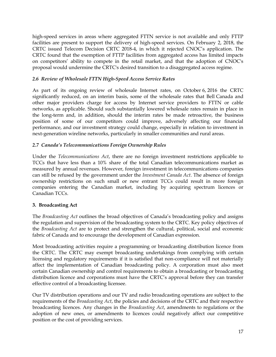high-speed services in areas where aggregated FTTN service is not available and only FTTP facilities are present to support the delivery of high-speed services. On February 2, 2018, the CRTC issued Telecom Decision CRTC 2018-4, in which it rejected CNOC"s application. The CRTC found that the exemption of FTTP facilities from aggregated access has limited impacts on competitors" ability to compete in the retail market, and that the adoption of CNOC's proposal would undermine the CRTC's desired transition to a disaggregated access regime.

#### *2.6 Review of Wholesale FTTN High-Speed Access Service Rates*

As part of its ongoing review of wholesale Internet rates, on October 6, 2016 the CRTC significantly reduced, on an interim basis, some of the wholesale rates that Bell Canada and other major providers charge for access by Internet service providers to FTTN or cable networks, as applicable. Should such substantially lowered wholesale rates remain in place in the long-term and, in addition, should the interim rates be made retroactive, the business position of some of our competitors could improve, adversely affecting our financial performance, and our investment strategy could change, especially in relation to investment in next-generation wireline networks, particularly in smaller communities and rural areas.

#### *2.7 Canada's Telecommunications Foreign Ownership Rules*

Under the *Telecommunications Act*, there are no foreign investment restrictions applicable to TCCs that have less than a 10% share of the total Canadian telecommunications market as measured by annual revenues. However, foreign investment in telecommunications companies can still be refused by the government under the *Investment Canada Act*. The absence of foreign ownership restrictions on such small or new entrant TCCs could result in more foreign companies entering the Canadian market, including by acquiring spectrum licences or Canadian TCCs.

#### **3. Broadcasting Act**

The *Broadcasting Act* outlines the broad objectives of Canada"s broadcasting policy and assigns the regulation and supervision of the broadcasting system to the CRTC. Key policy objectives of the *Broadcasting Act* are to protect and strengthen the cultural, political, social and economic fabric of Canada and to encourage the development of Canadian expression.

Most broadcasting activities require a programming or broadcasting distribution licence from the CRTC. The CRTC may exempt broadcasting undertakings from complying with certain licensing and regulatory requirements if it is satisfied that non-compliance will not materially affect the implementation of Canadian broadcasting policy. A corporation must also meet certain Canadian ownership and control requirements to obtain a broadcasting or broadcasting distribution licence and corporations must have the CRTC's approval before they can transfer effective control of a broadcasting licensee.

Our TV distribution operations and our TV and radio broadcasting operations are subject to the requirements of the *Broadcasting Act*, the policies and decisions of the CRTC and their respective broadcasting licences. Any changes in the *Broadcasting Act*, amendments to regulations or the adoption of new ones, or amendments to licences could negatively affect our competitive position or the cost of providing services.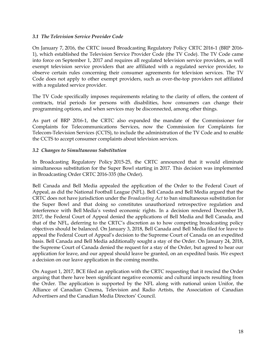#### *3.1 The Television Service Provider Code*

On January 7, 2016, the CRTC issued Broadcasting Regulatory Policy CRTC 2016-1 (BRP 2016- 1), which established the Television Service Provider Code (the TV Code). The TV Code came into force on September 1, 2017 and requires all regulated television service providers, as well exempt television service providers that are affiliated with a regulated service provider, to observe certain rules concerning their consumer agreements for television services. The TV Code does not apply to other exempt providers, such as over-the-top providers not affiliated with a regulated service provider.

The TV Code specifically imposes requirements relating to the clarity of offers, the content of contracts, trial periods for persons with disabilities, how consumers can change their programming options, and when services may be disconnected, among other things.

As part of BRP 2016-1, the CRTC also expanded the mandate of the Commissioner for Complaints for Telecommunications Services, now the Commission for Complaints for Telecom-Television Services (CCTS), to include the administration of the TV Code and to enable the CCTS to accept consumer complaints about television services.

#### *3.2 Changes to Simultaneous Substitution*

In Broadcasting Regulatory Policy 2015-25, the CRTC announced that it would eliminate simultaneous substitution for the Super Bowl starting in 2017. This decision was implemented in Broadcasting Order CRTC 2016-335 (the Order).

Bell Canada and Bell Media appealed the application of the Order to the Federal Court of Appeal, as did the National Football League (NFL). Bell Canada and Bell Media argued that the CRTC does not have jurisdiction under the *Broadcasting Act* to ban simultaneous substitution for the Super Bowl and that doing so constitutes unauthorized retrospective regulation and interference with Bell Media"s vested economic rights. In a decision rendered December 18, 2017, the Federal Court of Appeal denied the applications of Bell Media and Bell Canada, and that of the NFL, deferring to the CRTC"s discretion as to how competing broadcasting policy objectives should be balanced. On January 3, 2018, Bell Canada and Bell Media filed for leave to appeal the Federal Court of Appeal"s decision to the Supreme Court of Canada on an expedited basis. Bell Canada and Bell Media additionally sought a stay of the Order. On January 24, 2018, the Supreme Court of Canada denied the request for a stay of the Order, but agreed to hear our application for leave, and our appeal should leave be granted, on an expedited basis. We expect a decision on our leave application in the coming months.

On August 1, 2017, BCE filed an application with the CRTC requesting that it rescind the Order arguing that there have been significant negative economic and cultural impacts resulting from the Order. The application is supported by the NFL along with national union Unifor, the Alliance of Canadian Cinema, Television and Radio Artists, the Association of Canadian Advertisers and the Canadian Media Directors' Council.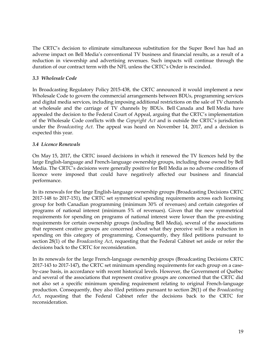The CRTC"s decision to eliminate simultaneous substitution for the Super Bowl has had an adverse impact on Bell Media"s conventional TV business and financial results, as a result of a reduction in viewership and advertising revenues. Such impacts will continue through the duration of our contract term with the NFL unless the CRTC"s Order is rescinded.

#### *3.3 Wholesale Code*

In Broadcasting Regulatory Policy 2015-438, the CRTC announced it would implement a new Wholesale Code to govern the commercial arrangements between BDUs, programming services and digital media services, including imposing additional restrictions on the sale of TV channels at wholesale and the carriage of TV channels by BDUs. Bell Canada and Bell Media have appealed the decision to the Federal Court of Appeal, arguing that the CRTC's implementation of the Wholesale Code conflicts with the *Copyright Act* and is outside the CRTC"s jurisdiction under the *Broadcasting Act*. The appeal was heard on November 14, 2017, and a decision is expected this year.

#### *3.4 Licence Renewals*

On May 15, 2017, the CRTC issued decisions in which it renewed the TV licences held by the large English-language and French-language ownership groups, including those owned by Bell Media. The CRTC"s decisions were generally positive for Bell Media as no adverse conditions of licence were imposed that could have negatively affected our business and financial performance.

In its renewals for the large English-language ownership groups (Broadcasting Decisions CRTC 2017-148 to 2017-151), the CRTC set symmetrical spending requirements across each licensing group for both Canadian programming (minimum 30% of revenues) and certain categories of programs of national interest (minimum 5% of revenues). Given that the new symmetrical requirements for spending on programs of national interest were lower than the pre-existing requirements for certain ownership groups (including Bell Media), several of the associations that represent creative groups are concerned about what they perceive will be a reduction in spending on this category of programming. Consequently, they filed petitions pursuant to section 28(1) of the *Broadcasting Act*, requesting that the Federal Cabinet set aside or refer the decisions back to the CRTC for reconsideration.

In its renewals for the large French-language ownership groups (Broadcasting Decisions CRTC 2017-143 to 2017-147), the CRTC set minimum spending requirements for each group on a caseby-case basis, in accordance with recent historical levels. However, the Government of Québec and several of the associations that represent creative groups are concerned that the CRTC did not also set a specific minimum spending requirement relating to original French-language production. Consequently, they also filed petitions pursuant to section 28(1) of the *Broadcasting Act*, requesting that the Federal Cabinet refer the decisions back to the CRTC for reconsideration.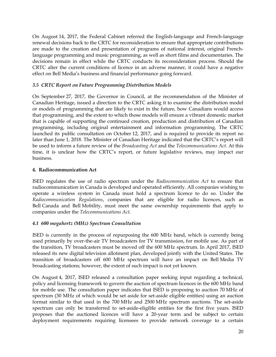On August 14, 2017, the Federal Cabinet referred the English-language and French-language renewal decisions back to the CRTC for reconsideration to ensure that appropriate contributions are made to the creation and presentation of programs of national interest, original Frenchlanguage programming and music programming, as well as short films and documentaries. The decisions remain in effect while the CRTC conducts its reconsideration process. Should the CRTC alter the current conditions of licence in an adverse manner, it could have a negative effect on Bell Media"s business and financial performance going forward.

#### *3.5 CRTC Report on Future Programming Distribution Models*

On September 27, 2017, the Governor in Council, at the recommendation of the Minister of Canadian Heritage, issued a direction to the CRTC asking it to examine the distribution model or models of programming that are likely to exist in the future, how Canadians would access that programming, and the extent to which those models will ensure a vibrant domestic market that is capable of supporting the continued creation, production and distribution of Canadian programming, including original entertainment and information programming. The CRTC launched its public consultation on October 12, 2017, and is required to provide its report no later than June 1, 2018. The Minister of Canadian Heritage indicated that the CRTC"s report will be used to inform a future review of the *Broadcasting Act* and the *Telecommunications Act*. At this time, it is unclear how the CRTC"s report, or future legislative reviews, may impact our business.

#### **4. Radiocommunication Act**

ISED regulates the use of radio spectrum under the *Radiocommunication Act* to ensure that radiocommunication in Canada is developed and operated efficiently. All companies wishing to operate a wireless system in Canada must hold a spectrum licence to do so. Under the *Radiocommunication Regulations*, companies that are eligible for radio licences, such as Bell Canada and Bell Mobility, must meet the same ownership requirements that apply to companies under the *Telecommunications Act*.

### *4.1 600 megahertz (MHz) Spectrum Consultation*

ISED is currently in the process of repurposing the 600 MHz band, which is currently being used primarily by over-the-air TV broadcasters for TV transmission, for mobile use. As part of the transition, TV broadcasters must be moved off the 600 MHz spectrum. In April 2017, ISED released its new digital television allotment plan, developed jointly with the United States. The transition of broadcasters off 600 MHz spectrum will have an impact on Bell Media TV broadcasting stations; however, the extent of such impact is not yet known.

On August 4, 2017, ISED released a consultation paper seeking input regarding a technical, policy and licensing framework to govern the auction of spectrum licences in the 600 MHz band for mobile use. The consultation paper indicates that ISED is proposing to auction 70 MHz of spectrum (30 MHz of which would be set aside for set-aside eligible entities) using an auction format similar to that used in the 700 MHz and 2500 MHz spectrum auctions. The set-aside spectrum can only be transferred to set-aside-eligible entities for the first five years. ISED proposes that the auctioned licences will have a 20-year term and be subject to certain deployment requirements requiring licensees to provide network coverage to a certain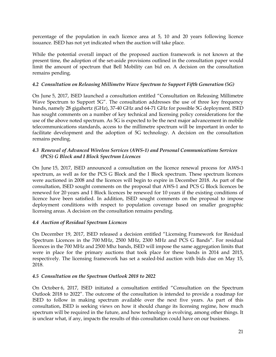percentage of the population in each licence area at 5, 10 and 20 years following licence issuance. ISED has not yet indicated when the auction will take place.

While the potential overall impact of the proposed auction framework is not known at the present time, the adoption of the set-aside provisions outlined in the consultation paper would limit the amount of spectrum that Bell Mobility can bid on. A decision on the consultation remains pending.

#### *4.2 Consultation on Releasing Millimetre Wave Spectrum to Support Fifth Generation (5G)*

On June 5, 2017, ISED launched a consultation entitled "Consultation on Releasing Millimetre Wave Spectrum to Support 5G". The consultation addresses the use of three key frequency bands, namely 28 gigahertz (GHz), 37-40 GHz and 64-71 GHz for possible 5G deployment. ISED has sought comments on a number of key technical and licensing policy considerations for the use of the above noted spectrum. As 5G is expected to be the next major advancement in mobile telecommunications standards, access to the millimetre spectrum will be important in order to facilitate development and the adoption of 5G technology. A decision on the consultation remains pending.

#### *4.3 Renewal of Advanced Wireless Services (AWS-1) and Personal Communications Services (PCS) G Block and I Block Spectrum Licences*

On June 15, 2017, ISED announced a consultation on the licence renewal process for AWS-1 spectrum, as well as for the PCS G Block and the I Block spectrum. These spectrum licences were auctioned in 2008 and the licences will begin to expire in December 2018. As part of the consultation, ISED sought comments on the proposal that AWS-1 and PCS G Block licences be renewed for 20 years and I Block licences be renewed for 10 years if the existing conditions of licence have been satisfied. In addition, ISED sought comments on the proposal to impose deployment conditions with respect to population coverage based on smaller geographic licensing areas. A decision on the consultation remains pending.

#### *4.4 Auction of Residual Spectrum Licences*

On December 19, 2017, ISED released a decision entitled "Licensing Framework for Residual Spectrum Licences in the 700 MHz, 2500 MHz, 2300 MHz and PCS G Bands". For residual licences in the 700 MHz and 2500 Mhz bands, ISED will impose the same aggregation limits that were in place for the primary auctions that took place for these bands in 2014 and 2015, respectively. The licensing framework has set a sealed-bid auction with bids due on May 15, 2018.

#### *4.5 Consultation on the Spectrum Outlook 2018 to 2022*

On October 6, 2017, ISED initiated a consultation entitled "Consultation on the Spectrum Outlook 2018 to 2022". The outcome of the consultation is intended to provide a roadmap for ISED to follow in making spectrum available over the next five years. As part of this consultation, ISED is seeking views on how it should change its licensing regime, how much spectrum will be required in the future, and how technology is evolving, among other things. It is unclear what, if any, impacts the results of this consultation could have on our business.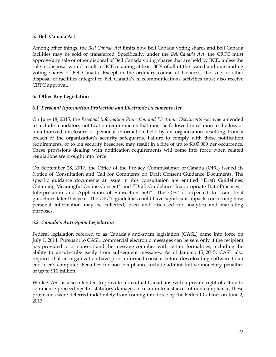#### **5. Bell Canada Act**

Among other things, the *Bell Canada Act* limits how Bell Canada voting shares and Bell Canada facilities may be sold or transferred. Specifically, under the *Bell Canada Act*, the CRTC must approve any sale or other disposal of Bell Canada voting shares that are held by BCE, unless the sale or disposal would result in BCE retaining at least 80% of all of the issued and outstanding voting shares of Bell Canada. Except in the ordinary course of business, the sale or other disposal of facilities integral to Bell Canada"s telecommunications activities must also receive CRTC approval.

#### **6. Other Key Legislation**

#### *6.1 Personal Information Protection and Electronic Documents Act*

On June 18, 2015, the *Personal Information Protection and Electronic Documents Act* was amended to include mandatory notification requirements that must be followed in relation to the loss or unauthorized disclosure of personal information held by an organization resulting from a breach of the organization"s security safeguards. Failure to comply with these notification requirements, or to log security breaches, may result in a fine of up to \$100,000 per occurrence. These provisions dealing with notification requirements will come into force when related regulations are brought into force.

On September 28, 2017, the Office of the Privacy Commissioner of Canada (OPC) issued its Notice of Consultation and Call for Comments on Draft Consent Guidance Documents. The specific guidance documents at issue in this consultation are entitled "Draft Guidelines: Obtaining Meaningful Online Consent" and "Draft Guidelines: Inappropriate Data Practices – Interpretation and Application of Subsection 5(3)". The OPC is expected to issue final guidelines later this year. The OPC"s guidelines could have significant impacts concerning how personal information may be collected, used and disclosed for analytics and marketing purposes.

### *6.2 Canada's Anti-Spam Legislation*

<span id="page-24-0"></span>Federal legislation referred to as Canada"s anti-spam legislation (CASL) came into force on July 1, 2014. Pursuant to CASL, commercial electronic messages can be sent only if the recipient has provided prior consent and the message complies with certain formalities, including the ability to unsubscribe easily from subsequent messages. As of January 15, 2015, CASL also requires that an organization have prior informed consent before downloading software to an end-user"s computer. Penalties for non-compliance include administrative monetary penalties of up to \$10 million.

While CASL is also intended to provide individual Canadians with a private right of action to commence proceedings for statutory damages in relation to instances of non-compliance, these provisions were deferred indefinitely from coming into force by the Federal Cabinet on June 2, 2017.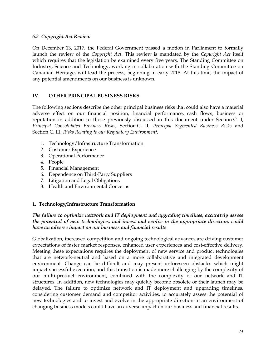#### *6.3 Copyright Act Review*

On December 13, 2017, the Federal Government passed a motion in Parliament to formally launch the review of the *Copyright Act*. This review is mandated by the *Copyright Act* itself which requires that the legislation be examined every five years. The Standing Committee on Industry, Science and Technology, working in collaboration with the Standing Committee on Canadian Heritage, will lead the process, beginning in early 2018. At this time, the impact of any potential amendments on our business is unknown.

#### <span id="page-25-0"></span>**IV. OTHER PRINCIPAL BUSINESS RISKS**

The following sections describe the other principal business risks that could also have a material adverse effect on our financial position, financial performance, cash flows, business or reputation in addition to those previously discussed in this document under Section [C. I,](#page-9-0) *Principal Consolidated Business Risks*, Section [C. II,](#page-12-0) *Principal Segmented Business Risks* and Section [C. III,](#page-15-1) *Risks Relating to our Regulatory Environment*.

- 1. Technology/Infrastructure Transformation
- 2. Customer Experience
- 3. Operational Performance
- 4. People
- 5. Financial Management
- 6. Dependence on Third-Party Suppliers
- 7. Litigation and Legal Obligations
- 8. Health and Environmental Concerns

#### **1. Technology/Infrastructure Transformation**

#### *The failure to optimize network and IT deployment and upgrading timelines, accurately assess the potential of new technologies, and invest and evolve in the appropriate direction, could have an adverse impact on our business and financial results*

Globalization, increased competition and ongoing technological advances are driving customer expectations of faster market responses, enhanced user experiences and cost-effective delivery. Meeting these expectations requires the deployment of new service and product technologies that are network-neutral and based on a more collaborative and integrated development environment. Change can be difficult and may present unforeseen obstacles which might impact successful execution, and this transition is made more challenging by the complexity of our multi-product environment, combined with the complexity of our network and IT structures. In addition, new technologies may quickly become obsolete or their launch may be delayed. The failure to optimize network and IT deployment and upgrading timelines, considering customer demand and competitor activities, to accurately assess the potential of new technologies and to invest and evolve in the appropriate direction in an environment of changing business models could have an adverse impact on our business and financial results.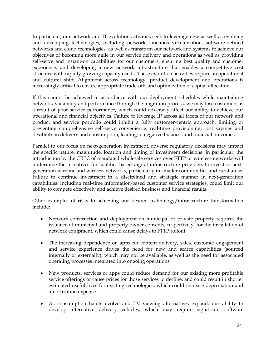In particular, our network and IT evolution activities seek to leverage new as well as evolving and developing technologies, including network functions virtualization, software-defined networks and cloud technologies, as well as transform our network and systems to achieve our objectives of becoming more agile in our service delivery and operations as well as providing self-serve and instant-on capabilities for our customers, ensuring best quality and customer experience, and developing a new network infrastructure that enables a competitive cost structure with rapidly growing capacity needs. These evolution activities require an operational and cultural shift. Alignment across technology, product development and operations is increasingly critical to ensure appropriate trade-offs and optimization of capital allocation.

If this cannot be achieved in accordance with our deployment schedules while maintaining network availability and performance through the migration process, we may lose customers as a result of poor service performance, which could adversely affect our ability to achieve our operational and financial objectives. Failure to leverage IP across all facets of our network and product and service portfolio could inhibit a fully customer-centric approach, limiting or preventing comprehensive self-serve convenience, real-time provisioning, cost savings and flexibility in delivery and consumption, leading to negative business and financial outcomes.

Parallel to our focus on next-generation investment, adverse regulatory decisions may impact the specific nature, magnitude, location and timing of investment decisions. In particular, the introduction by the CRTC of mandated wholesale services over FTTP or wireless networks will undermine the incentives for facilities-based digital infrastructure providers to invest in nextgeneration wireline and wireless networks, particularly in smaller communities and rural areas. Failure to continue investment in a disciplined and strategic manner in next-generation capabilities, including real-time information-based customer service strategies, could limit our ability to compete effectively and achieve desired business and financial results.

Other examples of risks to achieving our desired technology/infrastructure transformation include:

- Network construction and deployment on municipal or private property requires the issuance of municipal and property owner consents, respectively, for the installation of network equipment, which could cause delays to FTTP rollout
- The increasing dependence on apps for content delivery, sales, customer engagement and service experience drives the need for new and scarce capabilities (sourced internally or externally), which may not be available, as well as the need for associated operating processes integrated into ongoing operations
- New products, services or apps could reduce demand for our existing more profitable service offerings or cause prices for those services to decline, and could result in shorter estimated useful lives for existing technologies, which could increase depreciation and amortization expense
- As consumption habits evolve and TV viewing alternatives expand, our ability to develop alternative delivery vehicles, which may require significant software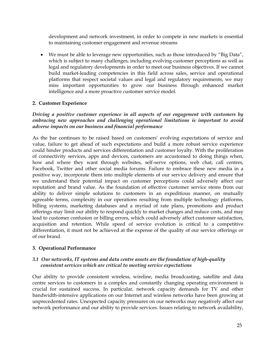development and network investment, in order to compete in new markets is essential to maintaining customer engagement and revenue streams

 We must be able to leverage new opportunities, such as those introduced by "Big Data", which is subject to many challenges, including evolving customer perceptions as well as legal and regulatory developments in order to meet our business objectives. If we cannot build market-leading competencies in this field across sales, service and operational platforms that respect societal values and legal and regulatory requirements, we may miss important opportunities to grow our business through enhanced market intelligence and a more proactive customer service model.

#### **2. Customer Experience**

#### *Driving a positive customer experience in all aspects of our engagement with customers by embracing new approaches and challenging operational limitations is important to avoid adverse impacts on our business and financial performance*

As the bar continues to be raised based on customers' evolving expectations of service and value, failure to get ahead of such expectations and build a more robust service experience could hinder products and services differentiation and customer loyalty. With the proliferation of connectivity services, apps and devices, customers are accustomed to doing things when, how and where they want through websites, self-serve options, web chat, call centres, Facebook, Twitter and other social media forums. Failure to embrace these new media in a positive way, incorporate them into multiple elements of our service delivery and ensure that we understand their potential impact on customer perceptions could adversely affect our reputation and brand value. As the foundation of effective customer service stems from our ability to deliver simple solutions to customers in an expeditious manner, on mutually agreeable terms, complexity in our operations resulting from multiple technology platforms, billing systems, marketing databases and a myriad of rate plans, promotions and product offerings may limit our ability to respond quickly to market changes and reduce costs, and may lead to customer confusion or billing errors, which could adversely affect customer satisfaction, acquisition and retention. While speed of service evolution is critical to a competitive differentiation, it must not be achieved at the expense of the quality of our service offerings or of our brand.

#### **3. Operational Performance**

#### *3.1 Our networks, IT systems and data centre assets are the foundation of high-quality consistent services which are critical to meeting service expectations*

Our ability to provide consistent wireless, wireline, media broadcasting, satellite and data centre services to customers in a complex and constantly changing operating environment is crucial for sustained success. In particular, network capacity demands for TV and other bandwidth-intensive applications on our Internet and wireless networks have been growing at unprecedented rates. Unexpected capacity pressures on our networks may negatively affect our network performance and our ability to provide services. Issues relating to network availability,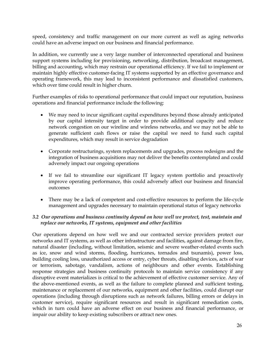speed, consistency and traffic management on our more current as well as aging networks could have an adverse impact on our business and financial performance.

In addition, we currently use a very large number of interconnected operational and business support systems including for provisioning, networking, distribution, broadcast management, billing and accounting, which may restrain our operational efficiency. If we fail to implement or maintain highly effective customer-facing IT systems supported by an effective governance and operating framework, this may lead to inconsistent performance and dissatisfied customers, which over time could result in higher churn.

Further examples of risks to operational performance that could impact our reputation, business operations and financial performance include the following:

- We may need to incur significant capital expenditures beyond those already anticipated by our capital intensity target in order to provide additional capacity and reduce network congestion on our wireline and wireless networks, and we may not be able to generate sufficient cash flows or raise the capital we need to fund such capital expenditures, which may result in service degradation
- Corporate restructurings, system replacements and upgrades, process redesigns and the integration of business acquisitions may not deliver the benefits contemplated and could adversely impact our ongoing operations
- If we fail to streamline our significant IT legacy system portfolio and proactively improve operating performance, this could adversely affect our business and financial outcomes
- There may be a lack of competent and cost-effective resources to perform the life-cycle management and upgrades necessary to maintain operational status of legacy networks

#### <span id="page-28-0"></span>*3.2 Our operations and business continuity depend on how well we protect, test, maintain and replace our networks, IT systems, equipment and other facilities*

Our operations depend on how well we and our contracted service providers protect our networks and IT systems, as well as other infrastructure and facilities, against damage from fire, natural disaster (including, without limitation, seismic and severe weather-related events such as ice, snow and wind storms, flooding, hurricanes, tornados and tsunamis), power loss, building cooling loss, unauthorized access or entry, cyber threats, disabling devices, acts of war or terrorism, sabotage, vandalism, actions of neighbours and other events. Establishing response strategies and business continuity protocols to maintain service consistency if any disruptive event materializes is critical to the achievement of effective customer service. Any of the above-mentioned events, as well as the failure to complete planned and sufficient testing, maintenance or replacement of our networks, equipment and other facilities, could disrupt our operations (including through disruptions such as network failures, billing errors or delays in customer service), require significant resources and result in significant remediation costs, which in turn could have an adverse effect on our business and financial performance, or impair our ability to keep existing subscribers or attract new ones.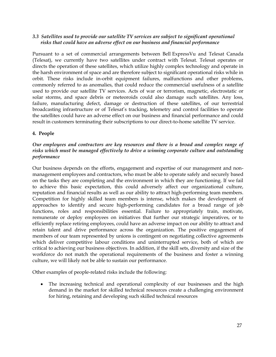#### *3.3 Satellites used to provide our satellite TV services are subject to significant operational risks that could have an adverse effect on our business and financial performance*

Pursuant to a set of commercial arrangements between Bell ExpressVu and Telesat Canada (Telesat), we currently have two satellites under contract with Telesat. Telesat operates or directs the operation of these satellites, which utilize highly complex technology and operate in the harsh environment of space and are therefore subject to significant operational risks while in orbit. These risks include in-orbit equipment failures, malfunctions and other problems, commonly referred to as anomalies, that could reduce the commercial usefulness of a satellite used to provide our satellite TV services. Acts of war or terrorism, magnetic, electrostatic or solar storms, and space debris or meteoroids could also damage such satellites. Any loss, failure, manufacturing defect, damage or destruction of these satellites, of our terrestrial broadcasting infrastructure or of Telesat's tracking, telemetry and control facilities to operate the satellites could have an adverse effect on our business and financial performance and could result in customers terminating their subscriptions to our direct-to-home satellite TV service.

#### **4. People**

#### *Our employees and contractors are key resources and there is a broad and complex range of risks which must be managed effectively to drive a winning corporate culture and outstanding performance*

Our business depends on the efforts, engagement and expertise of our management and nonmanagement employees and contractors, who must be able to operate safely and securely based on the tasks they are completing and the environment in which they are functioning. If we fail to achieve this basic expectation, this could adversely affect our organizational culture, reputation and financial results as well as our ability to attract high-performing team members. Competition for highly skilled team members is intense, which makes the development of approaches to identify and secure high-performing candidates for a broad range of job functions, roles and responsibilities essential. Failure to appropriately train, motivate, remunerate or deploy employees on initiatives that further our strategic imperatives, or to efficiently replace retiring employees, could have an adverse impact on our ability to attract and retain talent and drive performance across the organization. The positive engagement of members of our team represented by unions is contingent on negotiating collective agreements which deliver competitive labour conditions and uninterrupted service, both of which are critical to achieving our business objectives. In addition, if the skill sets, diversity and size of the workforce do not match the operational requirements of the business and foster a winning culture, we will likely not be able to sustain our performance.

Other examples of people-related risks include the following:

 The increasing technical and operational complexity of our businesses and the high demand in the market for skilled technical resources create a challenging environment for hiring, retaining and developing such skilled technical resources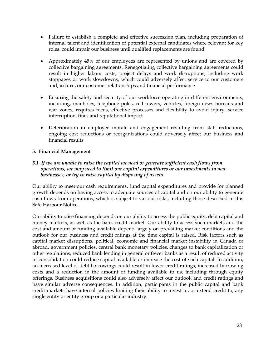- Failure to establish a complete and effective succession plan, including preparation of internal talent and identification of potential external candidates where relevant for key roles, could impair our business until qualified replacements are found
- Approximately 45% of our employees are represented by unions and are covered by collective bargaining agreements. Renegotiating collective bargaining agreements could result in higher labour costs, project delays and work disruptions, including work stoppages or work slowdowns, which could adversely affect service to our customers and, in turn, our customer relationships and financial performance
- Ensuring the safety and security of our workforce operating in different environments, including, manholes, telephone poles, cell towers, vehicles, foreign news bureaus and war zones, requires focus, effective processes and flexibility to avoid injury, service interruption, fines and reputational impact
- Deterioration in employee morale and engagement resulting from staff reductions, ongoing cost reductions or reorganizations could adversely affect our business and financial results

#### **5. Financial Management**

#### *5.1 If we are unable to raise the capital we need or generate sufficient cash flows from operations, we may need to limit our capital expenditures or our investments in new businesses, or try to raise capital by disposing of assets*

Our ability to meet our cash requirements, fund capital expenditures and provide for planned growth depends on having access to adequate sources of capital and on our ability to generate cash flows from operations, which is subject to various risks, including those described in this Safe Harbour Notice.

Our ability to raise financing depends on our ability to access the public equity, debt capital and money markets, as well as the bank credit market. Our ability to access such markets and the cost and amount of funding available depend largely on prevailing market conditions and the outlook for our business and credit ratings at the time capital is raised. Risk factors such as capital market disruptions, political, economic and financial market instability in Canada or abroad, government policies, central bank monetary policies, changes to bank capitalization or other regulations, reduced bank lending in general or fewer banks as a result of reduced activity or consolidation could reduce capital available or increase the cost of such capital. In addition, an increased level of debt borrowings could result in lower credit ratings, increased borrowing costs and a reduction in the amount of funding available to us, including through equity offerings. Business acquisitions could also adversely affect our outlook and credit ratings and have similar adverse consequences. In addition, participants in the public capital and bank credit markets have internal policies limiting their ability to invest in, or extend credit to, any single entity or entity group or a particular industry.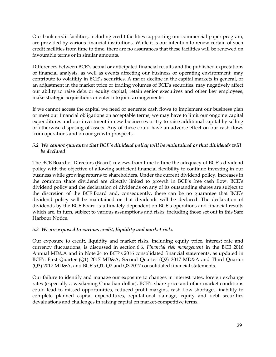Our bank credit facilities, including credit facilities supporting our commercial paper program, are provided by various financial institutions. While it is our intention to renew certain of such credit facilities from time to time, there are no assurances that these facilities will be renewed on favourable terms or in similar amounts.

Differences between BCE"s actual or anticipated financial results and the published expectations of financial analysts, as well as events affecting our business or operating environment, may contribute to volatility in BCE"s securities. A major decline in the capital markets in general, or an adjustment in the market price or trading volumes of BCE"s securities, may negatively affect our ability to raise debt or equity capital, retain senior executives and other key employees, make strategic acquisitions or enter into joint arrangements.

If we cannot access the capital we need or generate cash flows to implement our business plan or meet our financial obligations on acceptable terms, we may have to limit our ongoing capital expenditures and our investment in new businesses or try to raise additional capital by selling or otherwise disposing of assets. Any of these could have an adverse effect on our cash flows from operations and on our growth prospects.

#### *5.2 We cannot guarantee that BCE's dividend policy will be maintained or that dividends will be declared*

The BCE Board of Directors (Board) reviews from time to time the adequacy of BCE"s dividend policy with the objective of allowing sufficient financial flexibility to continue investing in our business while growing returns to shareholders. Under the current dividend policy, increases in the common share dividend are directly linked to growth in BCE"s free cash flow. BCE"s dividend policy and the declaration of dividends on any of its outstanding shares are subject to the discretion of the BCE Board and, consequently, there can be no guarantee that BCE"s dividend policy will be maintained or that dividends will be declared. The declaration of dividends by the BCE Board is ultimately dependent on BCE"s operations and financial results which are, in turn, subject to various assumptions and risks, including those set out in this Safe Harbour Notice.

#### *5.3 We are exposed to various credit, liquidity and market risks*

Our exposure to credit, liquidity and market risks, including equity price, interest rate and currency fluctuations, is discussed in section 6.6, *Financial risk management* in the BCE 2016 Annual MD&A and in Note 24 to BCE"s 2016 consolidated financial statements, as updated in BCE"s First Quarter (Q1) 2017 MD&A, Second Quarter (Q2) 2017 MD&A and Third Quarter (Q3) 2017 MD&A, and BCE"s Q1, Q2 and Q3 2017 consolidated financial statements.

Our failure to identify and manage our exposure to changes in interest rates, foreign exchange rates (especially a weakening Canadian dollar), BCE"s share price and other market conditions could lead to missed opportunities, reduced profit margins**,** cash flow shortages, inability to complete planned capital expenditures, reputational damage, equity and debt securities devaluations and challenges in raising capital on market-competitive terms.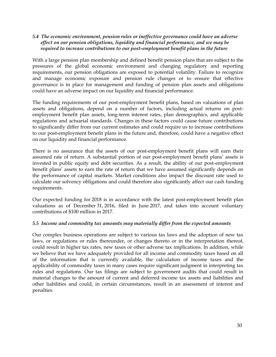#### *5.4 The economic environment, pension rules or ineffective governance could have an adverse effect on our pension obligations, liquidity and financial performance, and we may be required to increase contributions to our post-employment benefit plans in the future*

With a large pension plan membership and defined benefit pension plans that are subject to the pressures of the global economic environment and changing regulatory and reporting requirements, our pension obligations are exposed to potential volatility. Failure to recognize and manage economic exposure and pension rule changes or to ensure that effective governance is in place for management and funding of pension plan assets and obligations could have an adverse impact on our liquidity and financial performance.

The funding requirements of our post-employment benefit plans, based on valuations of plan assets and obligations, depend on a number of factors, including actual returns on postemployment benefit plan assets, long-term interest rates, plan demographics, and applicable regulations and actuarial standards. Changes in these factors could cause future contributions to significantly differ from our current estimates and could require us to increase contributions to our post-employment benefit plans in the future and, therefore, could have a negative effect on our liquidity and financial performance.

There is no assurance that the assets of our post-employment benefit plans will earn their assumed rate of return. A substantial portion of our post-employment benefit plans' assets is invested in public equity and debt securities. As a result, the ability of our post-employment benefit plans' assets to earn the rate of return that we have assumed significantly depends on the performance of capital markets. Market conditions also impact the discount rate used to calculate our solvency obligations and could therefore also significantly affect our cash funding requirements.

Our expected funding for 2018 is in accordance with the latest post-employment benefit plan valuations as of December 31, 2016, filed in June 2017, and takes into account voluntary contributions of \$100 million in 2017.

#### *5.5 Income and commodity tax amounts may materially differ from the expected amounts*

Our complex business operations are subject to various tax laws and the adoption of new tax laws, or regulations or rules thereunder, or changes thereto or in the interpretation thereof, could result in higher tax rates, new taxes or other adverse tax implications. In addition, while we believe that we have adequately provided for all income and commodity taxes based on all of the information that is currently available, the calculation of income taxes and the applicability of commodity taxes in many cases require significant judgment in interpreting tax rules and regulations. Our tax filings are subject to government audits that could result in material changes to the amount of current and deferred income tax assets and liabilities and other liabilities and could, in certain circumstances, result in an assessment of interest and penalties.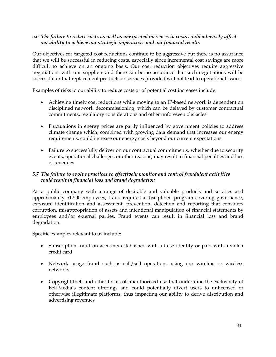#### *5.6 The failure to reduce costs as well as unexpected increases in costs could adversely affect our ability to achieve our strategic imperatives and our financial results*

Our objectives for targeted cost reductions continue to be aggressive but there is no assurance that we will be successful in reducing costs, especially since incremental cost savings are more difficult to achieve on an ongoing basis. Our cost reduction objectives require aggressive negotiations with our suppliers and there can be no assurance that such negotiations will be successful or that replacement products or services provided will not lead to operational issues.

Examples of risks to our ability to reduce costs or of potential cost increases include:

- Achieving timely cost reductions while moving to an IP-based network is dependent on disciplined network decommissioning, which can be delayed by customer contractual commitments, regulatory considerations and other unforeseen obstacles
- Fluctuations in energy prices are partly influenced by government policies to address climate change which, combined with growing data demand that increases our energy requirements, could increase our energy costs beyond our current expectations
- Failure to successfully deliver on our contractual commitments, whether due to security events, operational challenges or other reasons, may result in financial penalties and loss of revenues

### *5.7 The failure to evolve practices to effectively monitor and control fraudulent activities could result in financial loss and brand degradation*

As a public company with a range of desirable and valuable products and services and approximately 51,500 employees, fraud requires a disciplined program covering governance, exposure identification and assessment, prevention, detection and reporting that considers corruption, misappropriation of assets and intentional manipulation of financial statements by employees and/or external parties. Fraud events can result in financial loss and brand degradation.

Specific examples relevant to us include:

- Subscription fraud on accounts established with a false identity or paid with a stolen credit card
- Network usage fraud such as call/sell operations using our wireline or wireless networks
- Copyright theft and other forms of unauthorized use that undermine the exclusivity of Bell Media"s content offerings and could potentially divert users to unlicensed or otherwise illegitimate platforms, thus impacting our ability to derive distribution and advertising revenues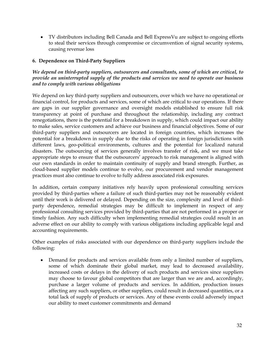TV distributors including Bell Canada and Bell ExpressVu are subject to ongoing efforts to steal their services through compromise or circumvention of signal security systems, causing revenue loss

#### **6. Dependence on Third-Party Suppliers**

#### *We depend on third-party suppliers, outsourcers and consultants, some of which are critical, to provide an uninterrupted supply of the products and services we need to operate our business and to comply with various obligations*

We depend on key third-party suppliers and outsourcers, over which we have no operational or financial control, for products and services, some of which are critical to our operations. If there are gaps in our supplier governance and oversight models established to ensure full risk transparency at point of purchase and throughout the relationship, including any contract renegotiations, there is the potential for a breakdown in supply, which could impact our ability to make sales, service customers and achieve our business and financial objectives. Some of our third-party suppliers and outsourcers are located in foreign countries, which increases the potential for a breakdown in supply due to the risks of operating in foreign jurisdictions with different laws, geo-political environments, cultures and the potential for localized natural disasters. The outsourcing of services generally involves transfer of risk, and we must take appropriate steps to ensure that the outsourcers' approach to risk management is aligned with our own standards in order to maintain continuity of supply and brand strength. Further, as cloud-based supplier models continue to evolve, our procurement and vendor management practices must also continue to evolve to fully address associated risk exposures.

In addition, certain company initiatives rely heavily upon professional consulting services provided by third-parties where a failure of such third-parties may not be reasonably evident until their work is delivered or delayed. Depending on the size, complexity and level of thirdparty dependence, remedial strategies may be difficult to implement in respect of any professional consulting services provided by third-parties that are not performed in a proper or timely fashion. Any such difficulty when implementing remedial strategies could result in an adverse effect on our ability to comply with various obligations including applicable legal and accounting requirements.

Other examples of risks associated with our dependence on third-party suppliers include the following:

 Demand for products and services available from only a limited number of suppliers, some of which dominate their global market, may lead to decreased availability, increased costs or delays in the delivery of such products and services since suppliers may choose to favour global competitors that are larger than we are and, accordingly, purchase a larger volume of products and services. In addition, production issues affecting any such suppliers, or other suppliers, could result in decreased quantities, or a total lack of supply of products or services. Any of these events could adversely impact our ability to meet customer commitments and demand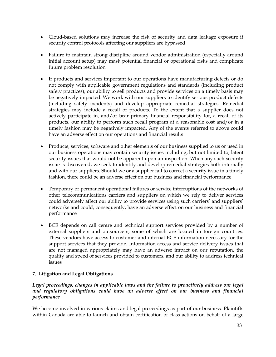- Cloud-based solutions may increase the risk of security and data leakage exposure if security control protocols affecting our suppliers are bypassed
- Failure to maintain strong discipline around vendor administration (especially around initial account setup) may mask potential financial or operational risks and complicate future problem resolution
- If products and services important to our operations have manufacturing defects or do not comply with applicable government regulations and standards (including product safety practices), our ability to sell products and provide services on a timely basis may be negatively impacted. We work with our suppliers to identify serious product defects (including safety incidents) and develop appropriate remedial strategies. Remedial strategies may include a recall of products. To the extent that a supplier does not actively participate in, and/or bear primary financial responsibility for, a recall of its products, our ability to perform such recall program at a reasonable cost and/or in a timely fashion may be negatively impacted. Any of the events referred to above could have an adverse effect on our operations and financial results
- Products, services, software and other elements of our business supplied to us or used in our business operations may contain security issues including, but not limited to, latent security issues that would not be apparent upon an inspection. When any such security issue is discovered, we seek to identify and develop remedial strategies both internally and with our suppliers. Should we or a supplier fail to correct a security issue in a timely fashion, there could be an adverse effect on our business and financial performance
- Temporary or permanent operational failures or service interruptions of the networks of other telecommunications carriers and suppliers on which we rely to deliver services could adversely affect our ability to provide services using such carriers' and suppliers' networks and could, consequently, have an adverse effect on our business and financial performance
- BCE depends on call centre and technical support services provided by a number of external suppliers and outsourcers, some of which are located in foreign countries. These vendors have access to customer and internal BCE information necessary for the support services that they provide. Information access and service delivery issues that are not managed appropriately may have an adverse impact on our reputation, the quality and speed of services provided to customers, and our ability to address technical issues

### **7. Litigation and Legal Obligations**

*Legal proceedings, changes in applicable laws and the failure to proactively address our legal and regulatory obligations could have an adverse effect on our business and financial performance*

We become involved in various claims and legal proceedings as part of our business. Plaintiffs within Canada are able to launch and obtain certification of class actions on behalf of a large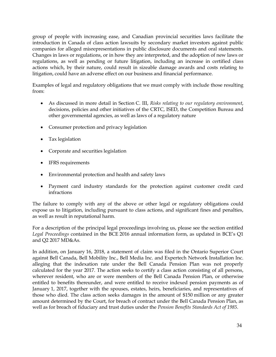group of people with increasing ease, and Canadian provincial securities laws facilitate the introduction in Canada of class action lawsuits by secondary market investors against public companies for alleged misrepresentations in public disclosure documents and oral statements. Changes in laws or regulations, or in how they are interpreted, and the adoption of new laws or regulations, as well as pending or future litigation, including an increase in certified class actions which, by their nature, could result in sizeable damage awards and costs relating to litigation, could have an adverse effect on our business and financial performance.

Examples of legal and regulatory obligations that we must comply with include those resulting from:

- As discussed in more detail in Section [C. III,](#page-15-1) *Risks relating to our regulatory environment*, decisions, policies and other initiatives of the CRTC, ISED, the Competition Bureau and other governmental agencies, as well as laws of a regulatory nature
- Consumer protection and privacy legislation
- Tax legislation
- Corporate and securities legislation
- IFRS requirements
- Environmental protection and health and safety laws
- Payment card industry standards for the protection against customer credit card infractions

The failure to comply with any of the above or other legal or regulatory obligations could expose us to litigation, including pursuant to class actions, and significant fines and penalties, as well as result in reputational harm.

For a description of the principal legal proceedings involving us, please see the section entitled *Legal Proceedings* contained in the BCE 2016 annual information form, as updated in BCE"s Q1 and Q2 2017 MD&As.

In addition, on January 16, 2018, a statement of claim was filed in the Ontario Superior Court against Bell Canada, Bell Mobility Inc., Bell Media Inc. and Expertech Network Installation Inc. alleging that the indexation rate under the Bell Canada Pension Plan was not properly calculated for the year 2017. The action seeks to certify a class action consisting of all persons, wherever resident, who are or were members of the Bell Canada Pension Plan, or otherwise entitled to benefits thereunder, and were entitled to receive indexed pension payments as of January 1, 2017, together with the spouses, estates, heirs, beneficiaries, and representatives of those who died. The class action seeks damages in the amount of \$150 million or any greater amount determined by the Court, for breach of contract under the Bell Canada Pension Plan, as well as for breach of fiduciary and trust duties under the *Pension Benefits Standards Act of 1985*.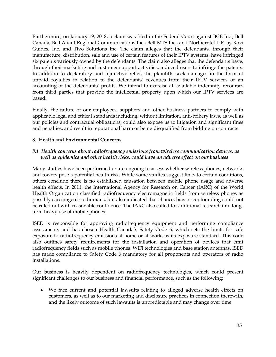Furthermore, on January 19, 2018, a claim was filed in the Federal Court against BCE Inc., Bell Canada, Bell Aliant Regional Communications Inc., Bell MTS Inc., and Northerntel L.P. by Rovi Guides, Inc. and Tivo Solutions Inc. The claim alleges that the defendants, through their manufacture, distribution, sale and use of certain features of their IPTV systems, have infringed six patents variously owned by the defendants. The claim also alleges that the defendants have, through their marketing and customer support activities, induced users to infringe the patents. In addition to declaratory and injunctive relief, the plaintiffs seek damages in the form of unpaid royalties in relation to the defendants' revenues from their IPTV services or an accounting of the defendants" profits. We intend to exercise all available indemnity recourses from third parties that provide the intellectual property upon which our IPTV services are based.

Finally, the failure of our employees, suppliers and other business partners to comply with applicable legal and ethical standards including, without limitation, anti-bribery laws, as well as our policies and contractual obligations, could also expose us to litigation and significant fines and penalties, and result in reputational harm or being disqualified from bidding on contracts.

#### **8. Health and Environmental Concerns**

#### *8.1 Health concerns about radiofrequency emissions from wireless communication devices, as well as epidemics and other health risks, could have an adverse effect on our business*

Many studies have been performed or are ongoing to assess whether wireless phones, networks and towers pose a potential health risk. While some studies suggest links to certain conditions, others conclude there is no established causation between mobile phone usage and adverse health effects. In 2011, the International Agency for Research on Cancer (IARC) of the World Health Organization classified radiofrequency electromagnetic fields from wireless phones as possibly carcinogenic to humans, but also indicated that chance, bias or confounding could not be ruled out with reasonable confidence. The IARC also called for additional research into longterm heavy use of mobile phones.

ISED is responsible for approving radiofrequency equipment and performing compliance assessments and has chosen Health Canada"s Safety Code 6, which sets the limits for safe exposure to radiofrequency emissions at home or at work, as its exposure standard. This code also outlines safety requirements for the installation and operation of devices that emit radiofrequency fields such as mobile phones, WiFi technologies and base station antennas. ISED has made compliance to Safety Code 6 mandatory for all proponents and operators of radio installations.

Our business is heavily dependent on radiofrequency technologies, which could present significant challenges to our business and financial performance, such as the following:

 We face current and potential lawsuits relating to alleged adverse health effects on customers, as well as to our marketing and disclosure practices in connection therewith, and the likely outcome of such lawsuits is unpredictable and may change over time